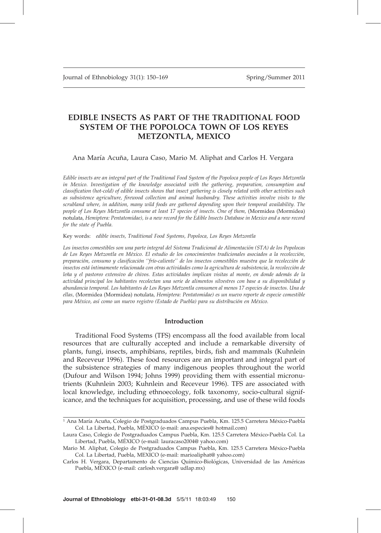# EDIBLE INSECTS AS PART OF THE TRADITIONAL FOOD SYSTEM OF THE POPOLOCA TOWN OF LOS REYES METZONTLA, MEXICO

#### Ana María Acuña, Laura Caso, Mario M. Aliphat and Carlos H. Vergara

Edible insects are an integral part of the Traditional Food System of the Popoloca people of Los Reyes Metzontla in Mexico. Investigation of the knowledge associated with the gathering, preparation, consumption and classification (hot-cold) of edible insects shows that insect gathering is closely related with other activities such as subsistence agriculture, firewood collection and animal husbandry. These activities involve visits to the scrubland where, in addition, many wild foods are gathered depending upon their temporal availability. The people of Los Reyes Metzontla consume at least 17 species of insects. One of them, (Mormidea (Mormidea) notulata, Hemiptera: Pentatomidae), is a new record for the Edible Insects Database in Mexico and a new record for the state of Puebla.

Key words: edible insects, Traditional Food Systems, Popoloca, Los Reyes Metzontla

Los insectos comestibles son una parte integral del Sistema Tradicional de Alimentación (STA) de los Popolocas de Los Reyes Metzontla en México. El estudio de los conocimientos tradicionales asociados a la recolección, preparación, consumo y clasificación "frío-caliente" de los insectos comestibles muestra que la recolección de insectos está íntimamente relacionada con otras actividades como la agricultura de subsistencia, la recolección de leña y el pastoreo extensivo de chivos. Estas actividades implican visitas al monte, en donde además de la actividad principal los habitantes recolectan una serie de alimentos silvestres con base a su disponibilidad y abundancia temporal. Los habitantes de Los Reyes Metzontla consumen al menos 17 especies de insectos. Una de ellas, (Mormidea (Mormidea) notulata, Hemiptera: Pentatomidae) es un nuevo reporte de especie comestible para México, así como un nuevo registro (Estado de Puebla) para su distribución en México.

#### Introduction

Traditional Food Systems (TFS) encompass all the food available from local resources that are culturally accepted and include a remarkable diversity of plants, fungi, insects, amphibians, reptiles, birds, fish and mammals (Kuhnlein and Receveur 1996). These food resources are an important and integral part of the subsistence strategies of many indigenous peoples throughout the world (Dufour and Wilson 1994; Johns 1999) providing them with essential micronutrients (Kuhnlein 2003; Kuhnlein and Receveur 1996). TFS are associated with local knowledge, including ethnoecology, folk taxonomy, socio-cultural significance, and the techniques for acquisition, processing, and use of these wild foods

<sup>&</sup>lt;sup>1</sup> Ana María Acuña, Colegio de Postgraduados Campus Puebla, Km. 125.5 Carretera México-Puebla Col. La Libertad, Puebla, ME´XICO (e-mail: ana.especies@ hotmail.com)

Laura Caso, Colegio de Postgraduados Campus Puebla, Km. 125.5 Carretera México-Puebla Col. La Libertad, Puebla, ME´XICO (e-mail: lauracaso2004@ yahoo.com)

Mario M. Aliphat, Colegio de Postgraduados Campus Puebla, Km. 125.5 Carretera México-Puebla Col. La Libertad, Puebla, MEXICO (e-mail: marioaliphat@ yahoo.com)

Carlos H. Vergara, Departamento de Ciencias Químico-Biológicas, Universidad de las Américas Puebla, MÉXICO (e-mail: carlosh.vergara@ udlap.mx)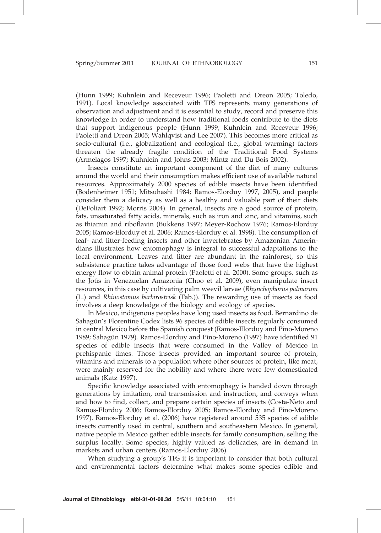(Hunn 1999; Kuhnlein and Receveur 1996; Paoletti and Dreon 2005; Toledo, 1991). Local knowledge associated with TFS represents many generations of observation and adjustment and it is essential to study, record and preserve this knowledge in order to understand how traditional foods contribute to the diets that support indigenous people (Hunn 1999; Kuhnlein and Receveur 1996; Paoletti and Dreon 2005; Wahlqvist and Lee 2007). This becomes more critical as socio-cultural (i.e., globalization) and ecological (i.e., global warming) factors threaten the already fragile condition of the Traditional Food Systems (Armelagos 1997; Kuhnlein and Johns 2003; Mintz and Du Bois 2002).

Insects constitute an important component of the diet of many cultures around the world and their consumption makes efficient use of available natural resources. Approximately 2000 species of edible insects have been identified (Bodenheimer 1951; Mitsuhashi 1984; Ramos-Elorduy 1997, 2005), and people consider them a delicacy as well as a healthy and valuable part of their diets (DeFoliart 1992; Morris 2004). In general, insects are a good source of protein, fats, unsaturated fatty acids, minerals, such as iron and zinc, and vitamins, such as thiamin and riboflavin (Bukkens 1997; Meyer-Rochow 1976; Ramos-Elorduy 2005; Ramos-Elorduy et al. 2006; Ramos-Elorduy et al. 1998). The consumption of leaf- and litter-feeding insects and other invertebrates by Amazonian Amerindians illustrates how entomophagy is integral to successful adaptations to the local environment. Leaves and litter are abundant in the rainforest, so this subsistence practice takes advantage of those food webs that have the highest energy flow to obtain animal protein (Paoletti et al. 2000). Some groups, such as the Jotis in Venezuelan Amazonia (Choo et al. 2009), even manipulate insect resources, in this case by cultivating palm weevil larvae (Rhynchophorus palmarum (L.) and Rhinostomus barbirostrisk (Fab.)). The rewarding use of insects as food involves a deep knowledge of the biology and ecology of species.

In Mexico, indigenous peoples have long used insects as food. Bernardino de Sahagún's Florentine Codex lists 96 species of edible insects regularly consumed in central Mexico before the Spanish conquest (Ramos-Elorduy and Pino-Moreno 1989; Sahagún 1979). Ramos-Elorduy and Pino-Moreno (1997) have identified 91 species of edible insects that were consumed in the Valley of Mexico in prehispanic times. Those insects provided an important source of protein, vitamins and minerals to a population where other sources of protein, like meat, were mainly reserved for the nobility and where there were few domesticated animals (Katz 1997).

Specific knowledge associated with entomophagy is handed down through generations by imitation, oral transmission and instruction, and conveys when and how to find, collect, and prepare certain species of insects (Costa-Neto and Ramos-Elorduy 2006; Ramos-Elorduy 2005; Ramos-Elorduy and Pino-Moreno 1997). Ramos-Elorduy et al. (2006) have registered around 535 species of edible insects currently used in central, southern and southeastern Mexico. In general, native people in Mexico gather edible insects for family consumption, selling the surplus locally. Some species, highly valued as delicacies, are in demand in markets and urban centers (Ramos-Elorduy 2006).

When studying a group's TFS it is important to consider that both cultural and environmental factors determine what makes some species edible and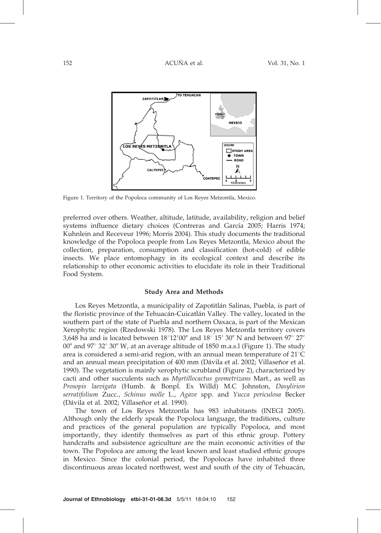

Figure 1. Territory of the Popoloca community of Los Reyes Metzontla, Mexico.

preferred over others. Weather, altitude, latitude, availability, religion and belief systems influence dietary choices (Contreras and García 2005; Harris 1974; Kuhnlein and Receveur 1996; Morris 2004). This study documents the traditional knowledge of the Popoloca people from Los Reyes Metzontla, Mexico about the collection, preparation, consumption and classification (hot-cold) of edible insects. We place entomophagy in its ecological context and describe its relationship to other economic activities to elucidate its role in their Traditional Food System.

## Study Area and Methods

Los Reyes Metzontla, a municipality of Zapotitlán Salinas, Puebla, is part of the floristic province of the Tehuacán-Cuicatlán Valley. The valley, located in the southern part of the state of Puebla and northern Oaxaca, is part of the Mexican Xerophytic region (Rzedowski 1978). The Los Reyes Metzontla territory covers 3,648 ha and is located between  $18^{\circ}12'00''$  and  $18^{\circ}$  15' 30" N and between 97° 27' 00" and 97 $\degree$  32' 30" W, at an average altitude of 1850 m.a.s.l (Figure 1). The study area is considered a semi-arid region, with an annual mean temperature of  $21^{\circ}C$ and an annual mean precipitation of 400 mm (Dávila et al. 2002; Villaseñor et al. 1990). The vegetation is mainly xerophytic scrubland (Figure 2), characterized by cacti and other succulents such as Myrtillocactus geometrizans Mart., as well as Prosopis laevigata (Humb. & Bonpl. Ex Willd) M.C Johnston, Dasylirion serratifolium Zucc., Schinus molle L., Agave spp. and Yucca periculosa Becker (Dávila et al. 2002; Villaseñor et al. 1990).

The town of Los Reyes Metzontla has 983 inhabitants (INEGI 2005). Although only the elderly speak the Popoloca language, the traditions, culture and practices of the general population are typically Popoloca, and most importantly, they identify themselves as part of this ethnic group. Pottery handcrafts and subsistence agriculture are the main economic activities of the town. The Popoloca are among the least known and least studied ethnic groups in Mexico. Since the colonial period, the Popolocas have inhabited three discontinuous areas located northwest, west and south of the city of Tehuacán,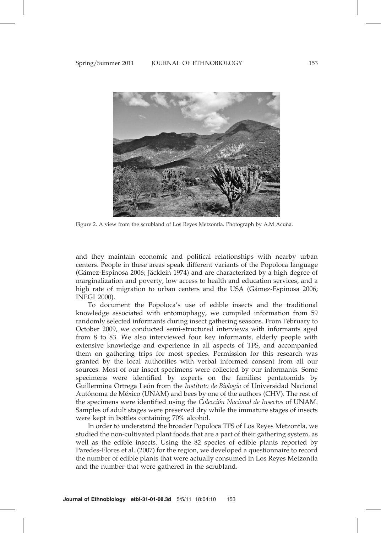

Figure 2. A view from the scrubland of Los Reyes Metzontla. Photograph by A.M Acuña.

and they maintain economic and political relationships with nearby urban centers. People in these areas speak different variants of the Popoloca language (Gámez-Espinosa 2006; Jäcklein 1974) and are characterized by a high degree of marginalization and poverty, low access to health and education services, and a high rate of migration to urban centers and the USA (Gámez-Espinosa 2006; INEGI 2000).

To document the Popoloca's use of edible insects and the traditional knowledge associated with entomophagy, we compiled information from 59 randomly selected informants during insect gathering seasons. From February to October 2009, we conducted semi-structured interviews with informants aged from 8 to 83. We also interviewed four key informants, elderly people with extensive knowledge and experience in all aspects of TFS, and accompanied them on gathering trips for most species. Permission for this research was granted by the local authorities with verbal informed consent from all our sources. Most of our insect specimens were collected by our informants. Some specimens were identified by experts on the families: pentatomids by Guillermina Ortrega León from the Instituto de Biología of Universidad Nacional Autónoma de México (UNAM) and bees by one of the authors (CHV). The rest of the specimens were identified using the Colección Nacional de Insectos of UNAM. Samples of adult stages were preserved dry while the immature stages of insects were kept in bottles containing 70% alcohol.

In order to understand the broader Popoloca TFS of Los Reyes Metzontla, we studied the non-cultivated plant foods that are a part of their gathering system, as well as the edible insects. Using the 82 species of edible plants reported by Paredes-Flores et al. (2007) for the region, we developed a questionnaire to record the number of edible plants that were actually consumed in Los Reyes Metzontla and the number that were gathered in the scrubland.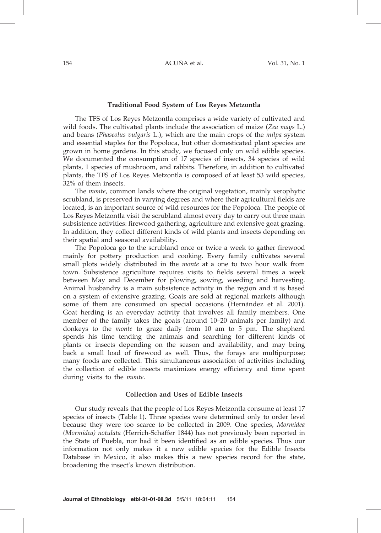### Traditional Food System of Los Reyes Metzontla

The TFS of Los Reyes Metzontla comprises a wide variety of cultivated and wild foods. The cultivated plants include the association of maize (Zea mays L.) and beans (Phaseolus vulgaris L.), which are the main crops of the *milpa* system and essential staples for the Popoloca, but other domesticated plant species are grown in home gardens. In this study, we focused only on wild edible species. We documented the consumption of 17 species of insects, 34 species of wild plants, 1 species of mushroom, and rabbits. Therefore, in addition to cultivated plants, the TFS of Los Reyes Metzontla is composed of at least 53 wild species, 32% of them insects.

The monte, common lands where the original vegetation, mainly xerophytic scrubland, is preserved in varying degrees and where their agricultural fields are located, is an important source of wild resources for the Popoloca. The people of Los Reyes Metzontla visit the scrubland almost every day to carry out three main subsistence activities: firewood gathering, agriculture and extensive goat grazing. In addition, they collect different kinds of wild plants and insects depending on their spatial and seasonal availability.

The Popoloca go to the scrubland once or twice a week to gather firewood mainly for pottery production and cooking. Every family cultivates several small plots widely distributed in the *monte* at a one to two hour walk from town. Subsistence agriculture requires visits to fields several times a week between May and December for plowing, sowing, weeding and harvesting. Animal husbandry is a main subsistence activity in the region and it is based on a system of extensive grazing. Goats are sold at regional markets although some of them are consumed on special occasions (Hernández et al. 2001). Goat herding is an everyday activity that involves all family members. One member of the family takes the goats (around 10–20 animals per family) and donkeys to the monte to graze daily from 10 am to 5 pm. The shepherd spends his time tending the animals and searching for different kinds of plants or insects depending on the season and availability, and may bring back a small load of firewood as well. Thus, the forays are multipurpose; many foods are collected. This simultaneous association of activities including the collection of edible insects maximizes energy efficiency and time spent during visits to the *monte*.

# Collection and Uses of Edible Insects

Our study reveals that the people of Los Reyes Metzontla consume at least 17 species of insects (Table 1). Three species were determined only to order level because they were too scarce to be collected in 2009. One species, Mormidea (Mormidea) notulata (Herrich-Schäffer 1844) has not previously been reported in the State of Puebla, nor had it been identified as an edible species. Thus our information not only makes it a new edible species for the Edible Insects Database in Mexico, it also makes this a new species record for the state, broadening the insect's known distribution.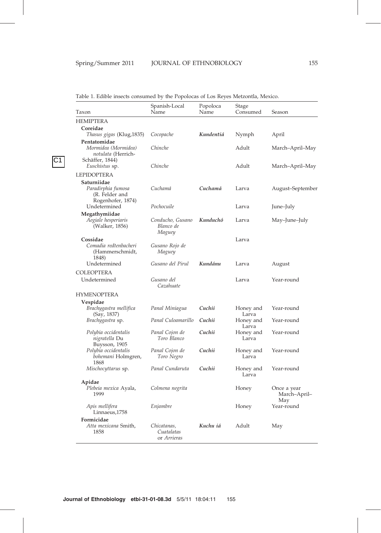$CI$ 

Table 1. Edible insects consumed by the Popolocas of Los Reyes Metzontla, Mexico.

| Taxon                                                                    | Spanish-Local<br>Name                    | Popoloca<br>Name  | Stage<br>Consumed  | Season                             |  |  |
|--------------------------------------------------------------------------|------------------------------------------|-------------------|--------------------|------------------------------------|--|--|
| <b>HEMIPTERA</b>                                                         |                                          |                   |                    |                                    |  |  |
| Coreidae                                                                 |                                          |                   |                    |                                    |  |  |
| Thasus gigas (Klug,1835)                                                 | Cocopache                                | Kundentiá         | Nymph              | April                              |  |  |
| Pentatomidae<br>Mormidea (Mormidea)<br>notulata (Herrich-                | Chinche                                  |                   | Adult              | March-April-May                    |  |  |
| Schäffer, 1844)<br>Euschistus sp.                                        | Chinche                                  |                   | Adult              | March-April-May                    |  |  |
| <b>LEPIDOPTERA</b>                                                       |                                          |                   |                    |                                    |  |  |
| Saturniidae<br>Paradirphia fumosa<br>(R. Felder and<br>Rogenhofer, 1874) | Cuchamá                                  | Cuchamá           | Larva              | August-September                   |  |  |
| Undetermined                                                             | Pochocuile                               |                   | Larva              | June–July                          |  |  |
| Megathymiidae<br>Aegiale hesperiaris<br>(Walker, 1856)                   | Conducho, Gusano<br>Blanco de<br>Maguey  | Kunduchó<br>Larva |                    | May–June–July                      |  |  |
| Cossidae<br>Comadia redtenbacheri<br>(Hammerschmidt,                     | Gusano Rojo de<br>Maguey                 |                   | Larva              |                                    |  |  |
| 1848)<br>Undetermined                                                    | Gusano del Pirul                         | Kundánu           | Larva              | August                             |  |  |
| <b>COLEOPTERA</b>                                                        |                                          |                   |                    |                                    |  |  |
| Undetermined                                                             | Gusano del<br>Cazahuate                  |                   | Larva              | Year-round                         |  |  |
| <b>HYMENOPTERA</b>                                                       |                                          |                   |                    |                                    |  |  |
| Vespidae                                                                 |                                          |                   |                    |                                    |  |  |
| Brachygastra mellifica<br>(Say, 1837)                                    | Panal Miniagua                           | Cuchii            | Honey and<br>Larva | Year-round                         |  |  |
| Brachygastra sp.                                                         | Panal Culoamarillo                       | Cuchii            | Honey and<br>Larva | Year-round                         |  |  |
| Polybia occidentalis<br>nigratella Du<br>Buysson, 1905                   | Panal Cojon de<br>Toro Blanco            | Cuchii            | Honey and<br>Larva | Year-round                         |  |  |
| Polybia occidentalis<br>bohemani Holmgren,<br>1868                       | Panal Cojon de<br>Toro Negro             | Cuchii            | Honey and<br>Larva | Year-round                         |  |  |
| Mischocyttarus sp.                                                       | Panal Cundaruta                          | Cuchii            | Honey and<br>Larva | Year-round                         |  |  |
| Apidae                                                                   |                                          |                   |                    |                                    |  |  |
| Plebeia mexica Ayala,<br>1999                                            | Colmena negrita                          |                   | Honey              | Once a year<br>March-April-<br>May |  |  |
| Apis mellifera<br>Linnaeus,1758                                          | Enjambre                                 |                   | Honey              | Year-round                         |  |  |
| Formicidae                                                               |                                          |                   |                    |                                    |  |  |
| Atta mexicana Smith,<br>1858                                             | Chicatanas,<br>Cuatalatas<br>or Arrieras | Kuchu iá          | Adult              | May                                |  |  |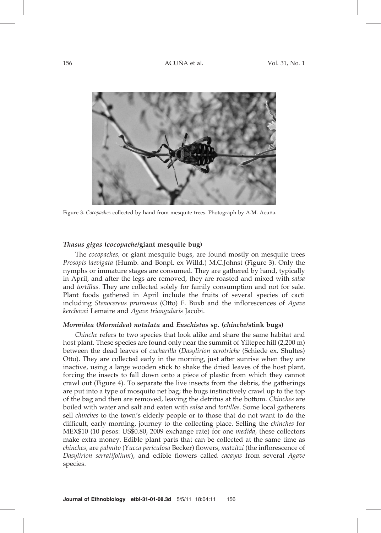

Figure 3. Cocopaches collected by hand from mesquite trees. Photograph by A.M. Acuña.

#### Thasus gigas (cocopache/giant mesquite bug)

The cocopaches, or giant mesquite bugs, are found mostly on mesquite trees Prosopis laevigata (Humb. and Bonpl. ex Willd.) M.C.Johnst (Figure 3). Only the nymphs or immature stages are consumed. They are gathered by hand, typically in April, and after the legs are removed, they are roasted and mixed with salsa and tortillas. They are collected solely for family consumption and not for sale. Plant foods gathered in April include the fruits of several species of cacti including Stenocereus pruinosus (Otto) F. Buxb and the inflorescences of Agave kerchovei Lemaire and Agave triangularis Jacobi.

#### Mormidea (Mormidea) notulata and Euschistus sp. (chinche/stink bugs)

Chinche refers to two species that look alike and share the same habitat and host plant. These species are found only near the summit of Yiltepec hill (2,200 m) between the dead leaves of cucharilla (Dasylirion acrotriche (Schiede ex. Shultes) Otto). They are collected early in the morning, just after sunrise when they are inactive, using a large wooden stick to shake the dried leaves of the host plant, forcing the insects to fall down onto a piece of plastic from which they cannot crawl out (Figure 4). To separate the live insects from the debris, the gatherings are put into a type of mosquito net bag; the bugs instinctively crawl up to the top of the bag and then are removed, leaving the detritus at the bottom. Chinches are boiled with water and salt and eaten with salsa and tortillas. Some local gatherers sell chinches to the town's elderly people or to those that do not want to do the difficult, early morning, journey to the collecting place. Selling the chinches for MEX\$10 (10 pesos: US\$0.80, 2009 exchange rate) for one medida, these collectors make extra money. Edible plant parts that can be collected at the same time as chinches, are palmito (Yucca periculosa Becker) flowers, matzitzi (the inflorescence of Dasylirion serratifolium), and edible flowers called cacayas from several Agave species.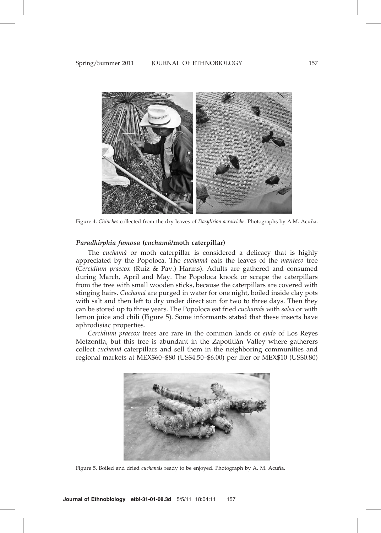

Figure 4. Chinches collected from the dry leaves of Dasylirion acrotriche. Photographs by A.M. Acuña.

# Paradhirphia fumosa (cuchamá/moth caterpillar)

The *cuchamá* or moth caterpillar is considered a delicacy that is highly appreciated by the Popoloca. The *cuchamá* eats the leaves of the *manteco* tree (Cercidium praecox (Ruiz & Pav.) Harms). Adults are gathered and consumed during March, April and May. The Popoloca knock or scrape the caterpillars from the tree with small wooden sticks, because the caterpillars are covered with stinging hairs. *Cuchamá* are purged in water for one night, boiled inside clay pots with salt and then left to dry under direct sun for two to three days. Then they can be stored up to three years. The Popoloca eat fried *cuchamás* with salsa or with lemon juice and chili (Figure 5). Some informants stated that these insects have aphrodisiac properties.

Cercidium praecox trees are rare in the common lands or ejido of Los Reyes Metzontla, but this tree is abundant in the Zapotitlán Valley where gatherers collect *cuchamá* caterpillars and sell them in the neighboring communities and regional markets at MEX\$60–\$80 (US\$4.50–\$6.00) per liter or MEX\$10 (US\$0.80)



Figure 5. Boiled and dried cuchamás ready to be enjoyed. Photograph by A. M. Acuña.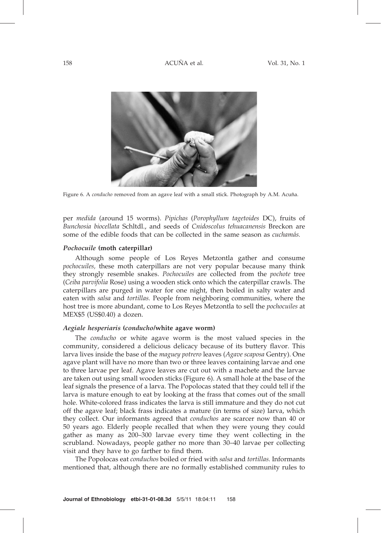

Figure 6. A conducho removed from an agave leaf with a small stick. Photograph by A.M. Acuña.

per medida (around 15 worms). Pipichas (Porophyllum tagetoides DC), fruits of Bunchosia biocellata Schltdl., and seeds of Cnidoscolus tehuacanensis Breckon are some of the edible foods that can be collected in the same season as *cuchamás*.

#### Pochocuile (moth caterpillar)

Although some people of Los Reyes Metzontla gather and consume pochocuiles, these moth caterpillars are not very popular because many think they strongly resemble snakes. Pochocuiles are collected from the pochote tree (Ceiba parvifolia Rose) using a wooden stick onto which the caterpillar crawls. The caterpillars are purged in water for one night, then boiled in salty water and eaten with salsa and tortillas. People from neighboring communities, where the host tree is more abundant, come to Los Reyes Metzontla to sell the pochocuiles at MEX\$5 (US\$0.40) a dozen.

#### Aegiale hesperiaris (conducho/white agave worm)

The conducho or white agave worm is the most valued species in the community, considered a delicious delicacy because of its buttery flavor. This larva lives inside the base of the maguey potrero leaves (Agave scaposa Gentry). One agave plant will have no more than two or three leaves containing larvae and one to three larvae per leaf. Agave leaves are cut out with a machete and the larvae are taken out using small wooden sticks (Figure 6). A small hole at the base of the leaf signals the presence of a larva. The Popolocas stated that they could tell if the larva is mature enough to eat by looking at the frass that comes out of the small hole. White-colored frass indicates the larva is still immature and they do not cut off the agave leaf; black frass indicates a mature (in terms of size) larva, which they collect. Our informants agreed that conduchos are scarcer now than 40 or 50 years ago. Elderly people recalled that when they were young they could gather as many as 200–300 larvae every time they went collecting in the scrubland. Nowadays, people gather no more than 30–40 larvae per collecting visit and they have to go farther to find them.

The Popolocas eat conduchos boiled or fried with salsa and tortillas. Informants mentioned that, although there are no formally established community rules to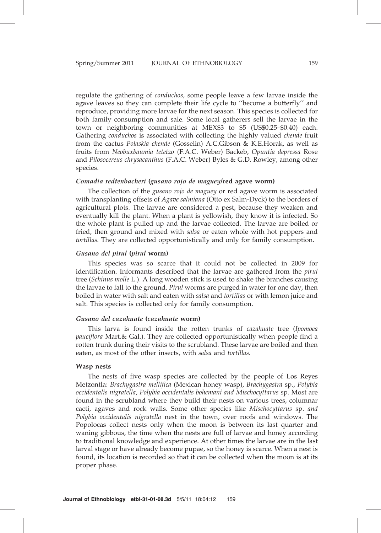regulate the gathering of conduchos, some people leave a few larvae inside the agave leaves so they can complete their life cycle to ''become a butterfly'' and reproduce, providing more larvae for the next season. This species is collected for both family consumption and sale. Some local gatherers sell the larvae in the town or neighboring communities at MEX\$3 to \$5 (US\$0.25–\$0.40) each. Gathering *conduchos* is associated with collecting the highly valued *chende* fruit from the cactus Polaskia chende (Gosselin) A.C.Gibson & K.E.Horak, as well as fruits from Neobuxbaumia tetetzo (F.A.C. Weber) Backeb, Opuntia depressa Rose and Pilosocereus chrysacanthus (F.A.C. Weber) Byles & G.D. Rowley, among other species.

### Comadia redtenbacheri (gusano rojo de maguey/red agave worm)

The collection of the gusano rojo de maguey or red agave worm is associated with transplanting offsets of Agave salmiana (Otto ex Salm-Dyck) to the borders of agricultural plots. The larvae are considered a pest, because they weaken and eventually kill the plant. When a plant is yellowish, they know it is infected. So the whole plant is pulled up and the larvae collected. The larvae are boiled or fried, then ground and mixed with salsa or eaten whole with hot peppers and tortillas. They are collected opportunistically and only for family consumption.

# Gusano del pirul (pirul worm)

This species was so scarce that it could not be collected in 2009 for identification. Informants described that the larvae are gathered from the pirul tree (Schinus molle L.). A long wooden stick is used to shake the branches causing the larvae to fall to the ground. Pirul worms are purged in water for one day, then boiled in water with salt and eaten with salsa and tortillas or with lemon juice and salt. This species is collected only for family consumption.

### Gusano del cazahuate (cazahuate worm)

This larva is found inside the rotten trunks of *cazahuate* tree (Ipomoea pauciflora Mart.& Gal.). They are collected opportunistically when people find a rotten trunk during their visits to the scrubland. These larvae are boiled and then eaten, as most of the other insects, with salsa and tortillas.

#### Wasp nests

The nests of five wasp species are collected by the people of Los Reyes Metzontla: Brachygastra mellifica (Mexican honey wasp), Brachygastra sp., Polybia occidentalis nigratella, Polybia occidentalis bohemani and Mischocyttarus sp. Most are found in the scrubland where they build their nests on various trees, columnar cacti, agaves and rock walls. Some other species like Mischocyttarus sp. and Polybia occidentalis nigratella nest in the town, over roofs and windows. The Popolocas collect nests only when the moon is between its last quarter and waning gibbous, the time when the nests are full of larvae and honey according to traditional knowledge and experience. At other times the larvae are in the last larval stage or have already become pupae, so the honey is scarce. When a nest is found, its location is recorded so that it can be collected when the moon is at its proper phase.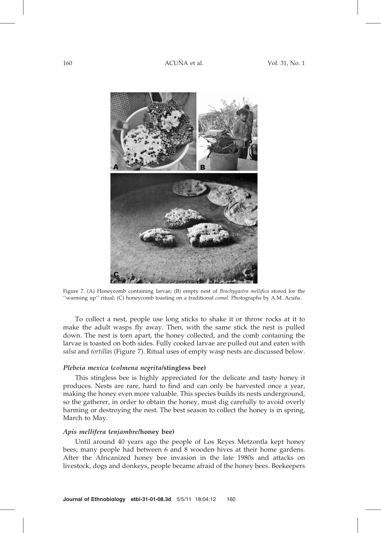

Figure 7. (A) Honeycomb containing larvae; (B) empty nest of Brachygastra mellifica stored for the "warming up" ritual; (C) honeycomb toasting on a traditional *comal*. Photographs by A.M. Acuña.

To collect a nest, people use long sticks to shake it or throw rocks at it to make the adult wasps fly away. Then, with the same stick the nest is pulled down. The nest is torn apart, the honey collected, and the comb containing the larvae is toasted on both sides. Fully cooked larvae are pulled out and eaten with salsa and tortillas (Figure 7). Ritual uses of empty wasp nests are discussed below.

# Plebeia mexica (colmena negrita/stingless bee)

This stingless bee is highly appreciated for the delicate and tasty honey it produces. Nests are rare, hard to find and can only be harvested once a year, making the honey even more valuable. This species builds its nests underground, so the gatherer, in order to obtain the honey, must dig carefully to avoid overly harming or destroying the nest. The best season to collect the honey is in spring, March to May.

# Apis mellifera (enjambre/honey bee)

Until around 40 years ago the people of Los Reyes Metzontla kept honey bees; many people had between 6 and 8 wooden hives at their home gardens. After the Africanized honey bee invasion in the late 1980s and attacks on livestock, dogs and donkeys, people became afraid of the honey bees. Beekeepers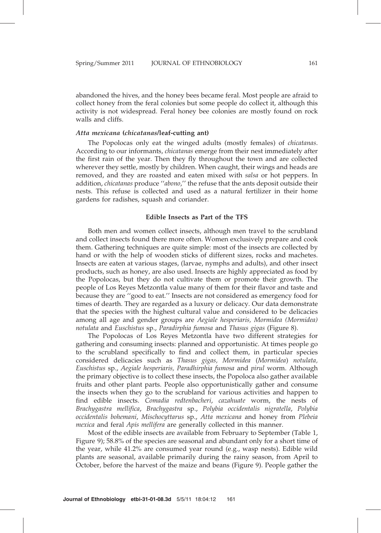abandoned the hives, and the honey bees became feral. Most people are afraid to collect honey from the feral colonies but some people do collect it, although this activity is not widespread. Feral honey bee colonies are mostly found on rock walls and cliffs.

# Atta mexicana (chicatanas/leaf-cutting ant)

The Popolocas only eat the winged adults (mostly females) of chicatanas. According to our informants, chicatanas emerge from their nest immediately after the first rain of the year. Then they fly throughout the town and are collected wherever they settle, mostly by children. When caught, their wings and heads are removed, and they are roasted and eaten mixed with salsa or hot peppers. In addition, chicatanas produce "abono," the refuse that the ants deposit outside their nests. This refuse is collected and used as a natural fertilizer in their home gardens for radishes, squash and coriander.

# Edible Insects as Part of the TFS

Both men and women collect insects, although men travel to the scrubland and collect insects found there more often. Women exclusively prepare and cook them. Gathering techniques are quite simple: most of the insects are collected by hand or with the help of wooden sticks of different sizes, rocks and machetes. Insects are eaten at various stages, (larvae, nymphs and adults), and other insect products, such as honey, are also used. Insects are highly appreciated as food by the Popolocas, but they do not cultivate them or promote their growth. The people of Los Reyes Metzontla value many of them for their flavor and taste and because they are ''good to eat.'' Insects are not considered as emergency food for times of dearth. They are regarded as a luxury or delicacy. Our data demonstrate that the species with the highest cultural value and considered to be delicacies among all age and gender groups are Aegiale hesperiaris, Mormidea (Mormidea) notulata and Euschistus sp., Paradirphia fumosa and Thasus gigas (Figure 8).

The Popolocas of Los Reyes Metzontla have two different strategies for gathering and consuming insects: planned and opportunistic. At times people go to the scrubland specifically to find and collect them, in particular species considered delicacies such as Thasus gigas, Mormidea (Mormidea) notulata, Euschistus sp., Aegiale hesperiaris, Paradhirphia fumosa and pirul worm. Although the primary objective is to collect these insects, the Popoloca also gather available fruits and other plant parts. People also opportunistically gather and consume the insects when they go to the scrubland for various activities and happen to find edible insects. Comadia redtenbacheri, cazahuate worm, the nests of Brachygastra mellifica, Brachygastra sp., Polybia occidentalis nigratella, Polybia occidentalis bohemani, Mischocyttarus sp., Atta mexicana and honey from Plebeia mexica and feral Apis mellifera are generally collected in this manner.

Most of the edible insects are available from February to September (Table 1, Figure 9); 58.8% of the species are seasonal and abundant only for a short time of the year, while 41.2% are consumed year round (e.g., wasp nests). Edible wild plants are seasonal, available primarily during the rainy season, from April to October, before the harvest of the maize and beans (Figure 9). People gather the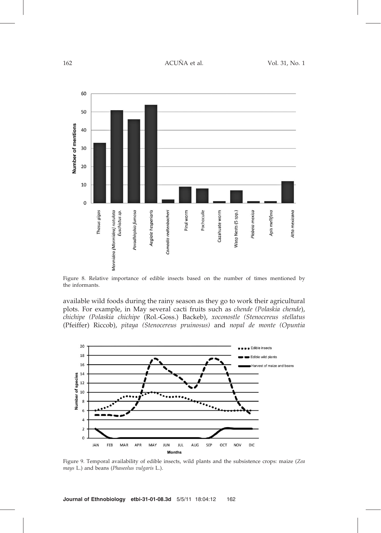# 162 ACUÑA et al. Vol. 31, No. 1



Figure 8. Relative importance of edible insects based on the number of times mentioned by the informants.

available wild foods during the rainy season as they go to work their agricultural plots. For example, in May several cacti fruits such as chende (Polaskia chende), chichipe (Polaskia chichipe (Rol.-Goss.) Backeb), xoconostle (Stenocereus stellatus (Pfeiffer) Riccob), pitaya (Stenocereus pruinosus) and nopal de monte (Opuntia



Figure 9. Temporal availability of edible insects, wild plants and the subsistence crops: maize (Zea mays L.) and beans (Phaseolus vulgaris L.).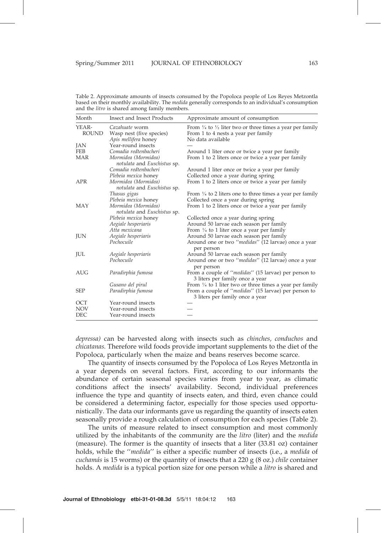| Table 2. Approximate amounts of insects consumed by the Popoloca people of Los Reyes Metzontla              |
|-------------------------------------------------------------------------------------------------------------|
| based on their monthly availability. The <i>medida</i> generally corresponds to an individual's consumption |
| and the <i>litro</i> is shared among family members.                                                        |

| Month                 | Insect and Insect Products                                         | Approximate amount of consumption                                                                                                          |
|-----------------------|--------------------------------------------------------------------|--------------------------------------------------------------------------------------------------------------------------------------------|
| YEAR-<br><b>ROUND</b> | Cazahuate worm<br>Wasp nest (five species)<br>Apis mellifera honey | From $\frac{1}{4}$ to $\frac{1}{2}$ liter two or three times a year per family<br>From 1 to 4 nests a year per family<br>No data available |
| JAN                   | Year-round insects                                                 |                                                                                                                                            |
| FEB                   | Comadia redtenbacheri                                              | Around 1 liter once or twice a year per family                                                                                             |
| <b>MAR</b>            | Mormidea (Mormidea)<br>notulata and Euschistus sp.                 | From 1 to 2 liters once or twice a year per family                                                                                         |
|                       | Comadia redtenbacheri                                              | Around 1 liter once or twice a year per family                                                                                             |
|                       | Plebeia mexica honey                                               | Collected once a year during spring                                                                                                        |
| <b>APR</b>            | Mormidea (Mormidea)<br>notulata and Euschistus sp.                 | From 1 to 2 liters once or twice a year per family                                                                                         |
|                       | Thasus gigas                                                       | From $\frac{1}{4}$ to 2 liters one to three times a year per family                                                                        |
|                       | Plebeia mexica honey                                               | Collected once a year during spring                                                                                                        |
| <b>MAY</b>            | Mormidea (Mormidea)<br>notulata and Euschistus sp.                 | From 1 to 2 liters once or twice a year per family                                                                                         |
|                       | Plebeia mexica honey                                               | Collected once a year during spring                                                                                                        |
|                       | Aegiale hesperiaris                                                | Around 50 larvae each season per family                                                                                                    |
|                       | Atta mexicana                                                      | From $\frac{1}{4}$ to 1 liter once a year per family                                                                                       |
| <b>JUN</b>            | Aegiale hesperiaris                                                | Around 50 larvae each season per family                                                                                                    |
|                       | Pochocuile                                                         | Around one or two "medidas" (12 larvae) once a year<br>per person                                                                          |
| <b>JUL</b>            | Aegiale hesperiaris                                                | Around 50 larvae each season per family                                                                                                    |
|                       | Pochocuile                                                         | Around one or two "medidas" (12 larvae) once a year<br>per person                                                                          |
| <b>AUG</b>            | Paradirphia fumosa                                                 | From a couple of "medidas" (15 larvae) per person to<br>3 liters per family once a year                                                    |
|                       | Gusano del pirul                                                   | From $\frac{1}{4}$ to 1 liter two or three times a year per family                                                                         |
| <b>SEP</b>            | Paradirphia fumosa                                                 | From a couple of "medidas" (15 larvae) per person to<br>3 liters per family once a year                                                    |
| <b>OCT</b>            | Year-round insects                                                 |                                                                                                                                            |
| <b>NOV</b>            | Year-round insects                                                 |                                                                                                                                            |
| <b>DEC</b>            | Year-round insects                                                 |                                                                                                                                            |

depressa) can be harvested along with insects such as *chinches*, *conduchos* and chicatanas. Therefore wild foods provide important supplements to the diet of the Popoloca, particularly when the maize and beans reserves become scarce.

The quantity of insects consumed by the Popoloca of Los Reyes Metzontla in a year depends on several factors. First, according to our informants the abundance of certain seasonal species varies from year to year, as climatic conditions affect the insects' availability. Second, individual preferences influence the type and quantity of insects eaten, and third, even chance could be considered a determining factor, especially for those species used opportunistically. The data our informants gave us regarding the quantity of insects eaten seasonally provide a rough calculation of consumption for each species (Table 2).

The units of measure related to insect consumption and most commonly utilized by the inhabitants of the community are the litro (liter) and the medida (measure). The former is the quantity of insects that a liter (33.81 oz) container holds, while the "medida" is either a specific number of insects (i.e., a medida of cuchamás is 15 worms) or the quantity of insects that a 220 g (8 oz.) chile container holds. A medida is a typical portion size for one person while a litro is shared and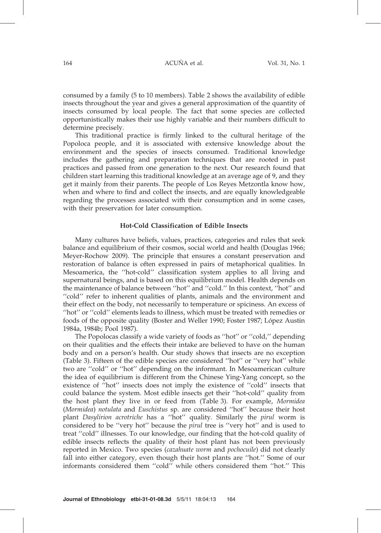164 **ACUÑA** et al. Vol. 31, No. 1

consumed by a family (5 to 10 members). Table 2 shows the availability of edible insects throughout the year and gives a general approximation of the quantity of insects consumed by local people. The fact that some species are collected opportunistically makes their use highly variable and their numbers difficult to determine precisely.

This traditional practice is firmly linked to the cultural heritage of the Popoloca people, and it is associated with extensive knowledge about the environment and the species of insects consumed. Traditional knowledge includes the gathering and preparation techniques that are rooted in past practices and passed from one generation to the next. Our research found that children start learning this traditional knowledge at an average age of 9, and they get it mainly from their parents. The people of Los Reyes Metzontla know how, when and where to find and collect the insects, and are equally knowledgeable regarding the processes associated with their consumption and in some cases, with their preservation for later consumption.

# Hot-Cold Classification of Edible Insects

Many cultures have beliefs, values, practices, categories and rules that seek balance and equilibrium of their cosmos, social world and health (Douglas 1966; Meyer-Rochow 2009). The principle that ensures a constant preservation and restoration of balance is often expressed in pairs of metaphorical qualities. In Mesoamerica, the ''hot-cold'' classification system applies to all living and supernatural beings, and is based on this equilibrium model. Health depends on the maintenance of balance between ''hot'' and ''cold.'' In this context, ''hot'' and ''cold'' refer to inherent qualities of plants, animals and the environment and their effect on the body, not necessarily to temperature or spiciness. An excess of ''hot'' or ''cold'' elements leads to illness, which must be treated with remedies or foods of the opposite quality (Boster and Weller 1990; Foster 1987; López Austin 1984a, 1984b; Pool 1987).

The Popolocas classify a wide variety of foods as ''hot'' or ''cold,'' depending on their qualities and the effects their intake are believed to have on the human body and on a person's health. Our study shows that insects are no exception (Table 3). Fifteen of the edible species are considered ''hot'' or ''very hot'' while two are ''cold'' or ''hot'' depending on the informant. In Mesoamerican culture the idea of equilibrium is different from the Chinese Ying-Yang concept, so the existence of ''hot'' insects does not imply the existence of ''cold'' insects that could balance the system. Most edible insects get their ''hot-cold'' quality from the host plant they live in or feed from (Table 3). For example, Mormidea (Mormidea) notulata and Euschistus sp. are considered ''hot'' because their host plant Dasylirion acrotriche has a ''hot'' quality. Similarly the pirul worm is considered to be ''very hot'' because the pirul tree is ''very hot'' and is used to treat ''cold'' illnesses. To our knowledge, our finding that the hot-cold quality of edible insects reflects the quality of their host plant has not been previously reported in Mexico. Two species (cazahuate worm and pochocuile) did not clearly fall into either category, even though their host plants are ''hot.'' Some of our informants considered them ''cold'' while others considered them ''hot.'' This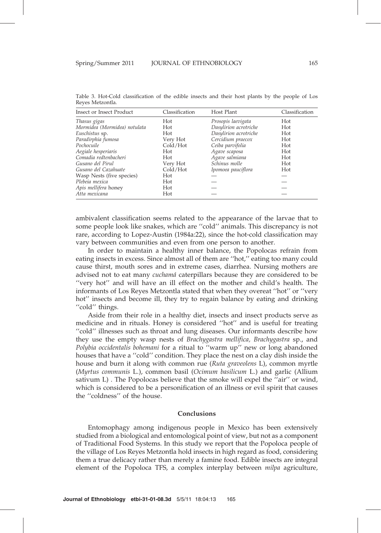|  |                  | Table 3. Hot-Cold classification of the edible insects and their host plants by the people of Los |  |  |  |  |  |  |  |
|--|------------------|---------------------------------------------------------------------------------------------------|--|--|--|--|--|--|--|
|  | Reves Metzontla. |                                                                                                   |  |  |  |  |  |  |  |

| Insect or Insect Product     | Classification | Host Plant            | Classification |
|------------------------------|----------------|-----------------------|----------------|
| Thasus gigas                 | Hot            | Prosopis laevigata    | Hot            |
| Mormidea (Mormidea) notulata | Hot            | Dasylirion acrotriche | Hot            |
| Euschistus sp.               | Hot            | Dasylirion acrotriche | Hot            |
| Paradirphia fumosa           | Very Hot       | Cercidium praecox     | Hot            |
| Pochocuile                   | Cold/Hot       | Ceiba parvifolia      | Hot            |
| Aegiale hesperiaris          | Hot            | Agave scaposa         | Hot            |
| Comadia redtenbacheri        | Hot            | Agave salmiana        | Hot            |
| Gusano del Pirul             | Very Hot       | Schinus molle         | Hot            |
| Gusano del Cazahuate         | Cold/Hot       | Ipomoea pauciflora    | Hot            |
| Wasp Nests (five species)    | Hot            |                       |                |
| Plebeia mexica               | Hot            |                       |                |
| Apis mellifera honey         | Hot            |                       |                |
| Atta mexicana                | Hot            |                       |                |

ambivalent classification seems related to the appearance of the larvae that to some people look like snakes, which are ''cold'' animals. This discrepancy is not rare, according to Lopez-Austin (1984a:22), since the hot-cold classification may vary between communities and even from one person to another.

In order to maintain a healthy inner balance, the Popolocas refrain from eating insects in excess. Since almost all of them are ''hot,'' eating too many could cause thirst, mouth sores and in extreme cases, diarrhea. Nursing mothers are advised not to eat many *cuchamá* caterpillars because they are considered to be ''very hot'' and will have an ill effect on the mother and child's health. The informants of Los Reyes Metzontla stated that when they overeat ''hot'' or ''very hot'' insects and become ill, they try to regain balance by eating and drinking "cold" things.

Aside from their role in a healthy diet, insects and insect products serve as medicine and in rituals. Honey is considered ''hot'' and is useful for treating ''cold'' illnesses such as throat and lung diseases. Our informants describe how they use the empty wasp nests of Brachygastra mellifica, Brachygastra sp., and Polybia occidentalis bohemani for a ritual to "warm up" new or long abandoned houses that have a ''cold'' condition. They place the nest on a clay dish inside the house and burn it along with common rue (Ruta graveolens L), common myrtle (Myrtus communis L.), common basil (Ocimum basilicum L.) and garlic (Allium sativum L) . The Popolocas believe that the smoke will expel the ''air'' or wind, which is considered to be a personification of an illness or evil spirit that causes the ''coldness'' of the house.

### Conclusions

Entomophagy among indigenous people in Mexico has been extensively studied from a biological and entomological point of view, but not as a component of Traditional Food Systems. In this study we report that the Popoloca people of the village of Los Reyes Metzontla hold insects in high regard as food, considering them a true delicacy rather than merely a famine food. Edible insects are integral element of the Popoloca TFS, a complex interplay between milpa agriculture,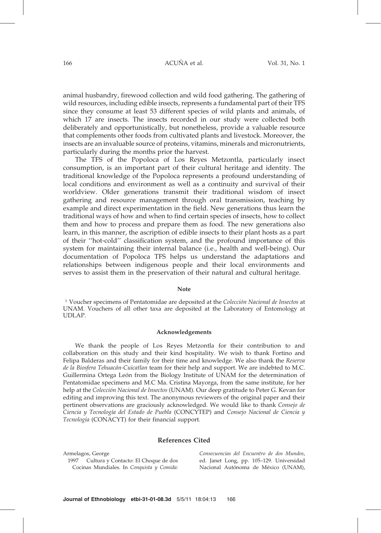# 166 ACUN˜ A et al. Vol. 31, No. 1

animal husbandry, firewood collection and wild food gathering. The gathering of wild resources, including edible insects, represents a fundamental part of their TFS since they consume at least 53 different species of wild plants and animals, of which 17 are insects. The insects recorded in our study were collected both deliberately and opportunistically, but nonetheless, provide a valuable resource that complements other foods from cultivated plants and livestock. Moreover, the insects are an invaluable source of proteins, vitamins, minerals and micronutrients, particularly during the months prior the harvest.

The TFS of the Popoloca of Los Reyes Metzontla, particularly insect consumption, is an important part of their cultural heritage and identity. The traditional knowledge of the Popoloca represents a profound understanding of local conditions and environment as well as a continuity and survival of their worldview. Older generations transmit their traditional wisdom of insect gathering and resource management through oral transmission, teaching by example and direct experimentation in the field. New generations thus learn the traditional ways of how and when to find certain species of insects, how to collect them and how to process and prepare them as food. The new generations also learn, in this manner, the ascription of edible insects to their plant hosts as a part of their ''hot-cold'' classification system, and the profound importance of this system for maintaining their internal balance (i.e., health and well-being). Our documentation of Popoloca TFS helps us understand the adaptations and relationships between indigenous people and their local environments and serves to assist them in the preservation of their natural and cultural heritage.

#### Note

 $1$  Voucher specimens of Pentatomidae are deposited at the Colección Nacional de Insectos at UNAM. Vouchers of all other taxa are deposited at the Laboratory of Entomology at UDLAP.

#### Acknowledgements

We thank the people of Los Reyes Metzontla for their contribution to and collaboration on this study and their kind hospitality. We wish to thank Fortino and Felipa Balderas and their family for their time and knowledge. We also thank the Reserva de la Biosfera Tehuacán-Cuicatlan team for their help and support. We are indebted to M.C. Guillermina Ortega León from the Biology Institute of UNAM for the determination of Pentatomidae specimens and M.C Ma. Cristina Mayorga, from the same institute, for her help at the Colección Nacional de Insectos (UNAM). Our deep gratitude to Peter G. Kevan for editing and improving this text. The anonymous reviewers of the original paper and their pertinent observations are graciously acknowledged. We would like to thank Consejo de Ciencia y Tecnología del Estado de Puebla (CONCYTEP) and Consejo Nacional de Ciencia y Tecnología (CONACYT) for their financial support.

#### References Cited

Armelagos, George 1997 Cultura y Contacto: El Choque de dos Cocinas Mundiales. In Conquista y Comida: Consecuencias del Encuentro de dos Mundos, ed. Janet Long, pp. 105–129. Universidad Nacional Autónoma de México (UNAM),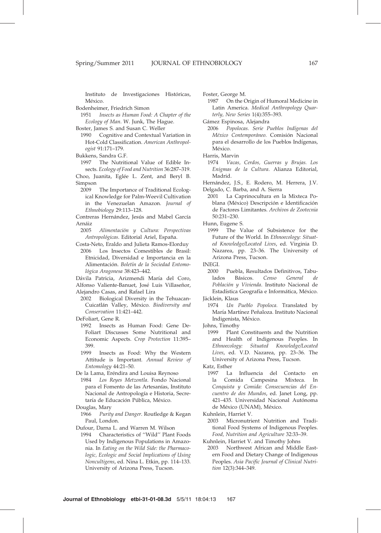Instituto de Investigaciones Históricas, México.

Bodenheimer, Friedrich Simon

- 1951 Insects as Human Food: A Chapter of the Ecology of Man. W. Junk, The Hague.
- Boster, James S. and Susan C. Weller
- 1990 Cognitive and Contextual Variation in Hot-Cold Classification. American Anthropologist 91:171–179.
- Bukkens, Sandra G.F.
- 1997 The Nutritional Value of Edible Insects. Ecology of Food and Nutrition 36:287–319. Choo, Juanita, Eglée L. Zent, and Beryl B. Simpson
	- 2009 The Importance of Traditional Ecological Knowledge for Palm-Weevil Cultivation in the Venezuelan Amazon. Journal of Ethnobiology 29:113–128.
- Contreras Hernández, Jesús and Mabel García Arna´iz
- 2005 Alimentación y Cultura: Perspectivas Antropológicas. Editorial Ariel, España.
- Costa-Neto, Eraldo and Julieta Ramos-Elorduy 2006 Los Insectos Comestibles de Brasil: Etnicidad, Diversidad e Importancia en la Alimentación. Boletín de la Sociedad Entomológica Aragonesa 38:423-442.
- Dávila Patricia, Arizmendi María del Coro, Alfonso Valiente-Banuet, José Luis Villaseñor, Alejandro Casas, and Rafael Lira
- 2002 Biological Diversity in the Tehuacan-Cuicatlán Valley, México. Biodiversity and Conservation 11:421–442.

DeFoliart, Gene R.

- 1992 Insects as Human Food: Gene De-Foliart Discusses Some Nutritional and Economic Aspects. Crop Protection 11:395– 399.
- 1999 Insects as Food: Why the Western Attitude is Important. Annual Review of Entomology 44:21–50.
- De la Lama, Eréndira and Louisa Reynoso
- 1984 Los Reyes Metzontla. Fondo Nacional para el Fomento de las Artesanías, Instituto Nacional de Antropología e Historia, Secretaría de Educación Pública, México.
- Douglas, Mary
	- 1966 Purity and Danger. Routledge & Kegan Paul, London.
- Dufour, Darna L. and Warren M. Wilson
- 1994 Characteristics of ''Wild'' Plant Foods Used by Indigenous Populations in Amazonia. In Eating on the Wild Side: the Pharmacologic, Ecologic and Social Implications of Using Noncultigens, ed. Nina L. Etkin, pp. 114–133. University of Arizona Press, Tucson.

Foster, George M.<br>1987 On the C

1987 On the Origin of Humoral Medicine in Latin America. Medical Anthropology Quarterly, New Series 1(4):355–393.

Gámez Espinosa, Alejandra

2006 Popolocas. Serie Pueblos Indígenas del México Contemporáneo. Comisión Nacional para el desarrollo de los Pueblos Indígenas, México.

Harris, Marvin

1974 Vacas, Cerdos, Guerras y Brujas. Los Enigmas de la Cultura. Alianza Editorial, Madrid.

Hernández, J.S., E. Rodero, M. Herrera, J.V. Delgado, C. Barba, and A. Sierra

2001 La Caprinocultura en la Mixteca Poblana (México) Descripción e Identificación de Factores Limitantes. Archivos de Zootecnia 50:231–230.

Hunn, Eugene S.

1999 The Value of Subsistence for the Future of the World. In Ethnoecology: Situated Knowledge/Located Lives, ed. Virginia D. Nazarea, pp. 23–36. The University of Arizona Press, Tucson.

INEGI.

- 2000 Puebla, Resultados Definitivos, Tabulados Básicos. Censo General de Población y Vivienda. Instituto Nacional de Estadística Geografía e Informática, México. Jäcklein, Klaus
- 1974 Un Pueblo Popoloca. Translated by María Martínez Peñaloza. Instituto Nacional Indigenista, México.
- Johns, Timothy
	- Plant Constituents and the Nutrition and Health of Indigenous Peoples. In Ethnoecology: Situated Knowledge/Located Lives, ed. V.D. Nazarea, pp. 23–36. The University of Arizona Press, Tucson.

Katz, Esther

- 1997 La Influencia del Contacto en la Comida Campesina Mixteca. In Conquista y Comida: Consecuencias del Encuentro de dos Mundos, ed. Janet Long, pp. 421-435. Universidad Nacional Autónoma de México (UNAM), México.
- Kuhnlein, Harriet V.
- 2003 Micronutrient Nutrition and Traditional Food Systems of Indigenous Peoples. Food, Nutrition and Agriculture 32:33–39.
- Kuhnlein, Harriet V. and Timothy Johns
- 2003 Northwest African and Middle Eastern Food and Dietary Change of Indigenous Peoples. Asia Pacific Journal of Clinical Nutrition 12(3):344–349.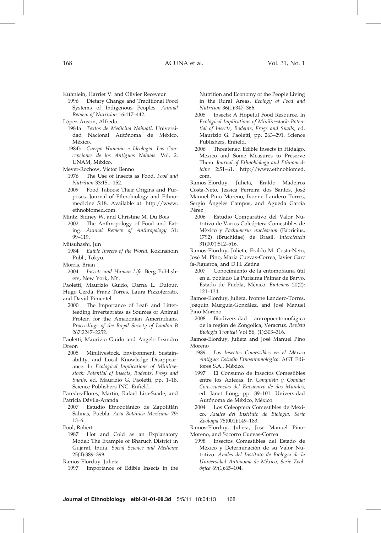Kuhnlein, Harriet V. and Olivier Receveur

1996 Dietary Change and Traditional Food Systems of Indigenous Peoples. Annual Review of Nutrition 16:417–442.

López Austin, Alfredo

- 1984a Textos de Medicina Náhuatl. Universidad Nacional Autónoma de México, México.
- 1984b Cuerpo Humano e Ideología. Las Concepciones de los Antiguos Nahuas. Vol. 2. UNAM, México.

Meyer-Rochow, Victor Benno

- 1976 The Use of Insects as Food. Food and Nutrition 33:151–152.
- 2009 Food Taboos: Their Origins and Purposes. Journal of Ethnobiology and Ethnomedicine 5:18. Available at: http://www. ethnobiomed.com.

Mintz, Sidney W. and Christine M. Du Bois

2002 The Anthropology of Food and Eating. Annual Review of Anthropology 31: 99–119.

Mitsuhashi, Jun

Edible Insects of the World. Kokinshoin Publ., Tokyo.

Morris, Brian<br>2004 Inse

- Insects and Human Life. Berg Publishers, New York, NY.
- Paoletti, Maurizio Guido, Darna L. Dufour, Hugo Cerda, Franz Torres, Laura Pizzoferrato, and David Pimentel
- 2000 The Importance of Leaf- and Litterfeeding Invertebrates as Sources of Animal Protein for the Amazonian Amerindians. Proceedings of the Royal Society of London B 267:2247–2252.

Paoletti, Maurizio Guido and Angelo Leandro Dreon

2005 Minilivestock, Environment, Sustainability, and Local Knowledge Disappearance. In Ecological Implications of Minilivestock: Potential of Insects, Rodents, Frogs and Snails, ed. Maurizio G. Paoletti, pp. 1–18. Science Publishers INC, Enfield.

Paredes-Flores, Martín, Rafael Lira-Saade, and Patricia Dávila-Aranda

2007 Estudio Etnobotánico de Zapotitlán Salinas, Puebla. Acta Botánica Mexicana 79: 13–6.

Pool, Robert

1987 Hot and Cold as an Explanatory Model: The Example of Bharuch District in Gujarat, India. Social Science and Medicine 25(4):389–399.

Ramos-Elorduy, Julieta

1997 Importance of Edible Insects in the

Nutrition and Economy of the People Living in the Rural Areas. Ecology of Food and Nutrition 36(1):347–366.

- 2005 Insects: A Hopeful Food Resource. In Ecological Implications of Minilivestock: Potential of Insects, Rodents, Frogs and Snails, ed. Maurizio G. Paoletti, pp. 263–291. Science Publishers, Enfield.
- 2006 Threatened Edible Insects in Hidalgo, Mexico and Some Measures to Preserve Them. Journal of Ethnobiology and Ethnomedicine 2:51–61. http://www.ethnobiomed. com.

Ramos-Elorduy, Julieta, Eraldo Madeiros Costa-Neto, Jessica Ferreira dos Santos, Jose´ Manuel Pino Moreno, Ivonne Landero Torres, Sergio Ángeles Campos, and Agueda García Pérez<br>2006

Estudio Comparativo del Valor Nutritivo de Varios Coleóptera Comestibles de Mèxico y Pachymerus nucleorum (Fabricius, 1792) (Bruchidae) de Brasil. Interciencia 31(007):512–516.

Ramos-Elorduy, Julieta, Eraldo M. Costa-Neto, José M. Pino, María Cuevas-Correa, Javier Garc ía-Figueroa, and D.H. Zetina

2007 Conocimiento de la entomofauna útil en el poblado La Purísima Palmar de Barvo, Estado de Puebla, México. Biotemas 20(2): 121–134.

Ramos-Elorduy, Julieta, Ivonne Landero-Torres, Joaquin Murguia-González, and José Manuel Pino-Moreno<br>2008 Bio

- Biodiversidad antropoentomofágica de la región de Zongolica, Veracruz. Revista Biología Tropical Vol 56, (1):303-316.
- Ramos-Elorduy, Julieta and Jose´ Manuel Pino Moreno
- 1989 Los Insectos Comestibles en el México Antiguo: Estudio Etnoentomológico. AGT Editores S.A., México.
- 1997 El Consumo de Insectos Comestibles entre los Aztecas. In Conquista y Comida: Consecuencias del Encuentro de dos Mundos, ed. Janet Long, pp. 89–101. Universidad Autónoma de México, México.
- 2004 Los Coleoptera Comestibles de México. Anales del Instituto de Biología, Serie Zoología 75(001):149-183.

Ramos-Elorduy, Julieta, José Manuel Pino-Moreno, and Socorro Cuevas-Correa<br>1998 **Insectos Comestibles** del

Insectos Comestibles del Estado de México y Determinación de su Valor Nutritivo. Anales del Instituto de Biología de la Universidad Autónoma de México, Serie Zoológica 69(1):65-104.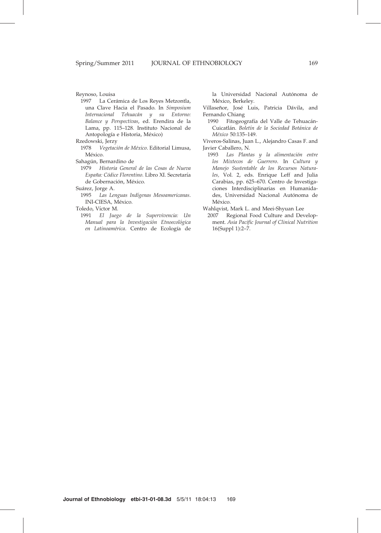Reynoso, Louisa

1997 La Cerámica de Los Reyes Metzontla, una Clave Hacia el Pasado. In Simposium Internacional Tehuacán y su Entorno: Balance y Perspectivas, ed. Erendira de la Lama, pp. 115–128. Instituto Nacional de Antopología e Historia, México)

Rzedowski, Jerzy

1978 Vegetación de México. Editorial Limusa, México.

Sahagún, Bernardino de

1979 Historia General de las Cosas de Nueva España: Códice Florentino. Libro XI. Secretaría de Gobernación, México.

Suárez, Jorge A.

1995 Las Lenguas Indígenas Mesoamericanas. INI-CIESA, México.

Toledo, Víctor M.

1991 El Juego de la Supervivencia: Un Manual para la Investigación Etnoecológica en Latinoamérica. Centro de Ecología de

la Universidad Nacional Autónoma de México, Berkeley.

- Villaseñor, José Luis, Patricia Dávila, and Fernando Chiang
- 1990 Fitogeografía del Valle de Tehuacán-Cuicatlán. Boletín de la Sociedad Botánica de México 50:135-149.

Viveros-Salinas, Juan L., Alejandro Casas F. and Javier Caballero, N.

1993 Las Plantas y la alimentación entre los Mixtecos de Guerrero. In Cultura y Manejo Sustentable de los Recursos Naturales, Vol. 2, eds. Enrique Leff and Julia Carabias, pp. 625–670. Centro de Investigaciones Interdisciplinarias en Humanidades, Universidad Nacional Autónoma de México.

Wahlqvist, Mark L. and Meei-Shyuan Lee

Regional Food Culture and Development. Asia Pacific Journal of Clinical Nutrition 16(Suppl 1):2–7.